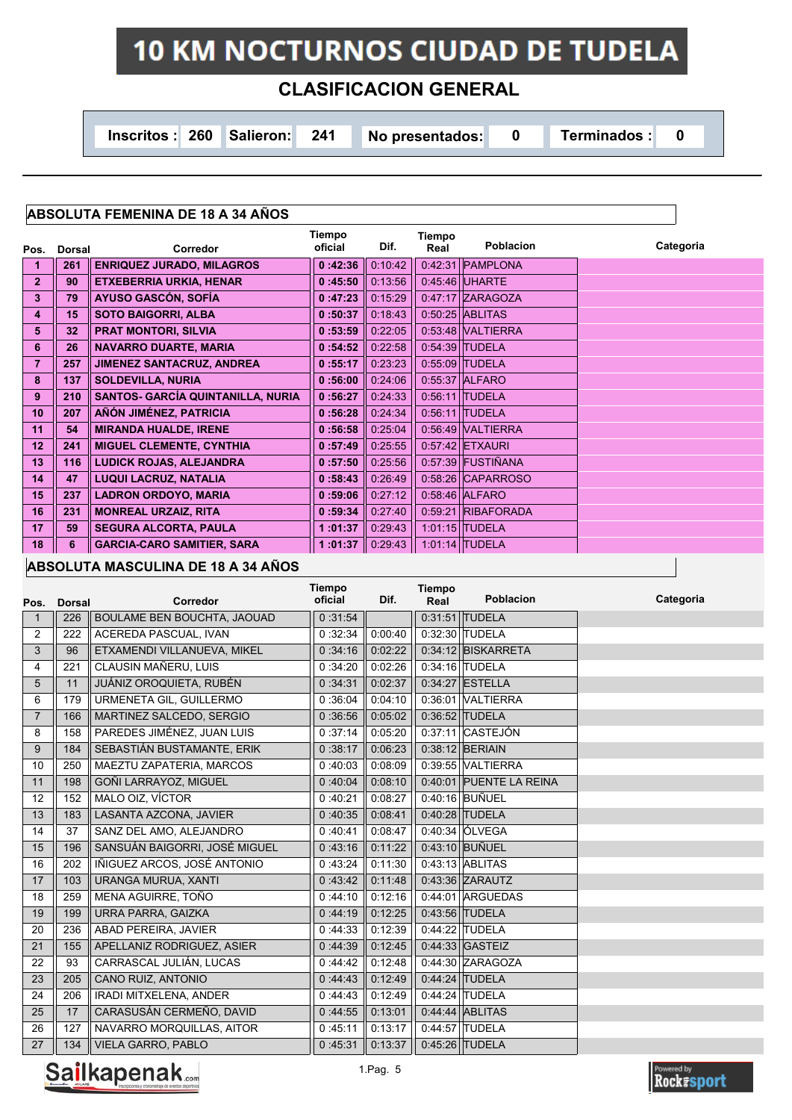# **10 KM NOCTURNOS CIUDAD DE TUDELA**

# **CLASIFICACION GENERAL**

**Inscritos : 260 Salieron: 241 No presentados: 0 Terminados : 0** 

# **ABSOLUTA FEMENINA DE 18 A 34 AÑOS**

|                | <b>Dorsal</b> | <b>Corredor</b>                          | Tiempo<br>oficial | Dif.    | Tiempo<br>Real | <b>Poblacion</b>        | Categoria |
|----------------|---------------|------------------------------------------|-------------------|---------|----------------|-------------------------|-----------|
| Pos.           |               |                                          |                   |         |                |                         |           |
|                | 261           | <b>ENRIQUEZ JURADO, MILAGROS</b>         | 0:42:36           | 0.10.42 |                | $0.42.31$ PAMPLONA      |           |
| $\overline{2}$ | 90            | <b>ETXEBERRIA URKIA, HENAR</b>           | 0:45:50           | 0:13:56 | 0.45.46        | <b>UHARTE</b>           |           |
| 3              | 79            | <b>AYUSO GASCÓN, SOFÍA</b>               | 0:47:23           | 0:15:29 |                | 0:47:17 ZARAGOZA        |           |
| 4              | 15            | <b>SOTO BAIGORRI, ALBA</b>               | 0:50:37           | 0.18.43 |                | $0.50.25$ ABLITAS       |           |
| 5              | 32            | <b>PRAT MONTORI, SILVIA</b>              | 0:53:59           | 0:22:05 | 0.53.48        | <b><i>NALTIERRA</i></b> |           |
| 6              | 26            | <b>NAVARRO DUARTE, MARIA</b>             | 0:54:52           | 0:22:58 |                | 0:54:39 TUDELA          |           |
| 7              | 257           | <b>JIMENEZ SANTACRUZ, ANDREA</b>         | 0:55:17           | 0:23:23 | 0.55.09        | <b>TUDELA</b>           |           |
| 8              | 137           | <b>SOLDEVILLA, NURIA</b>                 | 0:56:00           | 0:24:06 |                | 0.55:37 ALFARO          |           |
| 9              | 210           | <b>SANTOS- GARCÍA QUINTANILLA, NURIA</b> | 0:56:27           | 0:24:33 |                | $0.56.11$ TUDELA        |           |
| 10             | 207           | AÑÓN JIMÉNEZ, PATRICIA                   | 0:56:28           | 0:24:34 |                | $0.56.11$ TUDELA        |           |
| 11             | 54            | <b>MIRANDA HUALDE, IRENE</b>             | 0:56:58           | 0.25.04 |                | 0:56:49 VALTIERRA       |           |
| 12             | 241           | <b>MIGUEL CLEMENTE, CYNTHIA</b>          | 0:57:49           | 0:25:55 |                | $0.57:42$ ETXAURI       |           |
| 13             | 116           | <b>LUDICK ROJAS, ALEJANDRA</b>           | 0:57:50           | 0:25:56 |                | 0.57.39 FUSTIÑANA       |           |
| 14             | 47            | <b>LUQUI LACRUZ, NATALIA</b>             | 0:58:43           | 0.26.49 |                | 0:58:26 CAPARROSO       |           |
| 15             | 237           | <b>LADRON ORDOYO, MARIA</b>              | 0:59:06           | 0.27:12 |                | 0:58:46 ALFARO          |           |
| 16             | 231           | <b>MONREAL URZAIZ, RITA</b>              | 0:59:34           | 0:27:40 |                | 0:59:21 RIBAFORADA      |           |
| 17             | 59            | <b>SEGURA ALCORTA, PAULA</b>             | 1:01:37           | 0:29:43 |                | 1:01:15 TUDELA          |           |
| 18             | 6             | <b>GARCIA-CARO SAMITIER, SARA</b>        | :01:37            | 0.29.43 |                | 1:01:14 TUDELA          |           |

#### **ABSOLUTA MASCULINA DE 18 A 34 AÑOS**

| Pos.           | <b>Dorsal</b> | Corredor                      | <b>Tiempo</b><br>oficial | Dif.    | Tiempo<br>Real | <b>Poblacion</b>        | Categoria |
|----------------|---------------|-------------------------------|--------------------------|---------|----------------|-------------------------|-----------|
| 1              | 226           | BOULAME BEN BOUCHTA, JAOUAD   | 0:31:54                  |         |                | 0:31:51 TUDELA          |           |
| 2              | 222           | ACEREDA PASCUAL, IVAN         | 0:32:34                  | 0:00:40 |                | 0:32:30 TUDELA          |           |
| 3              | 96            | ETXAMENDI VILLANUEVA, MIKEL   | 0:34:16                  | 0:02:22 |                | $0:34:12$ BISKARRETA    |           |
| $\overline{4}$ | 221           | CLAUSIN MAÑERU, LUIS          | 0:34:20                  | 0:02:26 |                | 0:34:16 TUDELA          |           |
| 5              | 11            | JUÁNIZ OROQUIETA, RUBÉN       | 0:34:31                  | 0:02:37 |                | $0.34:27$ ESTELLA       |           |
| 6              | 179           | URMENETA GIL, GUILLERMO       | 0:36:04                  | 0:04:10 |                | 0:36:01 VALTIERRA       |           |
| $\overline{7}$ | 166           | MARTINEZ SALCEDO, SERGIO      | 0:36:56                  | 0:05:02 |                | 0:36:52 TUDELA          |           |
| 8              | 158           | PAREDES JIMÉNEZ, JUAN LUIS    | 0:37:14                  | 0:05:20 |                | $0.37:11$ CASTEJÓN      |           |
| 9              | 184           | SEBASTIÁN BUSTAMANTE, ERIK    | 0:38:17                  | 0:06:23 |                | 0:38:12 BERIAIN         |           |
| 10             | 250           | MAEZTU ZAPATERIA, MARCOS      | 0:40:03                  | 0.08:09 |                | 0.39:55 VALTIERRA       |           |
| 11             | 198           | GOÑI LARRAYOZ, MIGUEL         | 0:40:04                  | 0:08:10 |                | 0.40:01 PUENTE LA REINA |           |
| 12             | 152           | MALO OIZ, VÍCTOR              | 0:40:21                  | 0:08:27 |                | 0:40:16 BUÑUEL          |           |
| 13             | 183           | LASANTA AZCONA, JAVIER        | 0:40:35                  | 0:08:41 |                | 0:40:28 TUDELA          |           |
| 14             | 37            | SANZ DEL AMO, ALEJANDRO       | 0:40.41                  | 0:08:47 |                | 0.40:34 ÓLVEGA          |           |
| 15             | 196           | SANSUÁN BAIGORRI, JOSÉ MIGUEL | 0:43:16                  | 0:11:22 |                | 0:43:10 BUÑUEL          |           |
| 16             | 202           | IÑIGUEZ ARCOS, JOSÉ ANTONIO   | 0:43:24                  | 0:11:30 |                | 0:43:13 ABLITAS         |           |
| 17             | 103           | URANGA MURUA, XANTI           | 0:43:42                  | 0:11:48 |                | 0:43:36 ZARAUTZ         |           |
| 18             | 259           | MENA AGUIRRE, TOÑO            | 0:44:10                  | 0:12:16 |                | 0.44:01 ARGUEDAS        |           |
| 19             | 199           | URRA PARRA, GAIZKA            | 0:44:19                  | 0:12:25 |                | 0:43:56 TUDELA          |           |
| 20             | 236           | ABAD PEREIRA, JAVIER          | 0:44:33                  | 0:12:39 |                | 0:44:22 TUDELA          |           |
| 21             | 155           | APELLANIZ RODRIGUEZ, ASIER    | 0:44:39                  | 0:12:45 |                | $0.44:33$ GASTEIZ       |           |
| 22             | 93            | CARRASCAL JULIÁN, LUCAS       | 0:44:42                  | 0:12:48 |                | 0.44:30 ZARAGOZA        |           |
| 23             | 205           | CANO RUIZ, ANTONIO            | 0.44.43                  | 0:12:49 |                | 0:44:24 TUDELA          |           |
| 24             | 206           | IRADI MITXELENA, ANDER        | 0:44:43                  | 0:12:49 |                | 0:44:24 TUDELA          |           |
| 25             | 17            | CARASUSÁN CERMEÑO, DAVID      | 0:44:55                  | 0:13:01 |                | $0.44.44$ ABLITAS       |           |
| 26             | 127           | NAVARRO MORQUILLAS, AITOR     | 0:45:11                  | 0:13:17 |                | 0:44:57 TUDELA          |           |
| 27             | 134           | <b>VIELA GARRO, PABLO</b>     | 0:45:31                  | 0:13:37 |                | 0:45:26 TUDELA          |           |



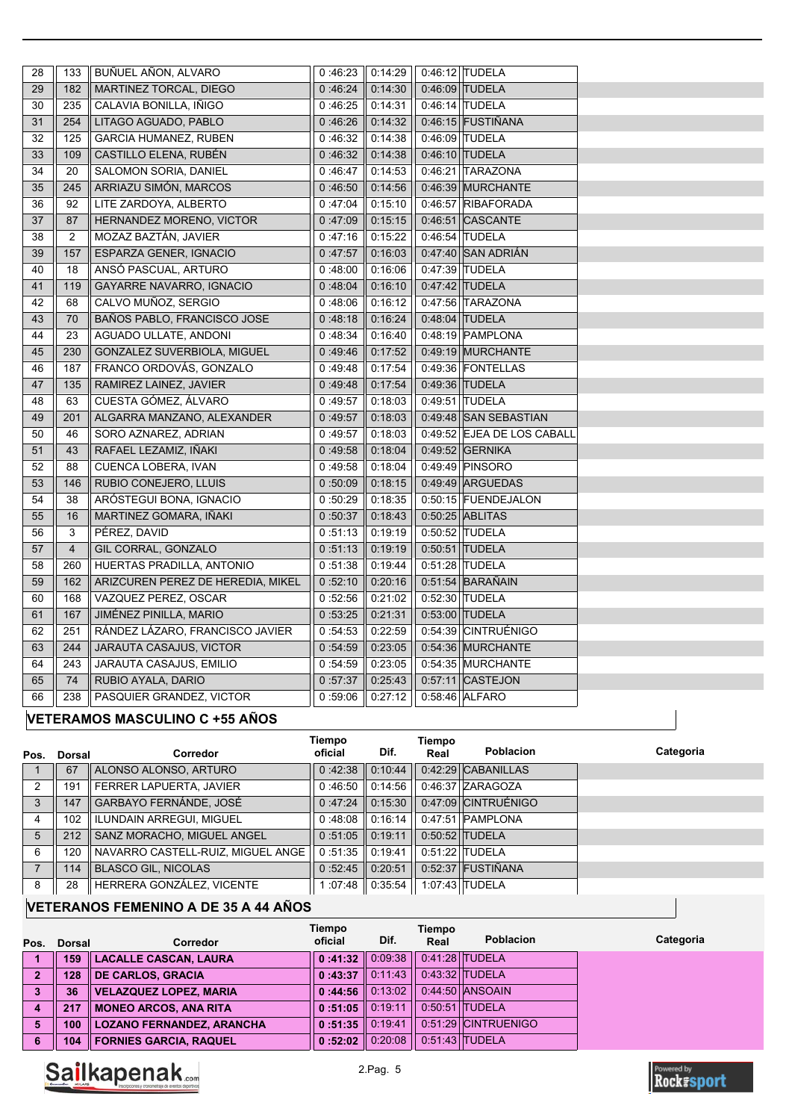| 28 | 133            | BUÑUEL AÑON, ALVARO                | 0:46:23 | 0:14:29 |         | 0:46:12 TUDELA             |  |
|----|----------------|------------------------------------|---------|---------|---------|----------------------------|--|
| 29 | 182            | MARTINEZ TORCAL, DIEGO             | 0:46.24 | 0:14:30 |         | 0:46:09 TUDELA             |  |
| 30 | 235            | CALAVIA BONILLA, IÑIGO             | 0:46:25 | 0:14:31 |         | 0:46:14 TUDELA             |  |
| 31 | 254            | LITAGO AGUADO, PABLO               | 0:46.26 | 0:14:32 |         | 0:46:15 FUSTIÑANA          |  |
| 32 | 125            | <b>GARCIA HUMANEZ, RUBEN</b>       | 0:46:32 | 0.14.38 |         | 0:46:09 TUDELA             |  |
| 33 | 109            | CASTILLO ELENA, RUBÉN              | 0:46.32 | 0:14:38 |         | 0:46:10 TUDELA             |  |
| 34 | 20             | SALOMON SORIA, DANIEL              | 0:46.47 | 0.14.53 |         | 0:46:21 TARAZONA           |  |
| 35 | 245            | ARRIAZU SIMÓN, MARCOS              | 0:46:50 | 0.14.56 |         | 0:46:39 MURCHANTE          |  |
| 36 | 92             | LITE ZARDOYA, ALBERTO              | 0:47:04 | 0.15.10 |         | 0:46:57 RIBAFORADA         |  |
| 37 | 87             | HERNANDEZ MORENO, VICTOR           | 0:47:09 | 0.15.15 | 0.46.51 | <b>CASCANTE</b>            |  |
| 38 | $\overline{2}$ | MOZAZ BAZTÁN, JAVIER               | 0:47:16 | 0:15:22 | 0.46.54 | <b>TUDELA</b>              |  |
| 39 | 157            | ESPARZA GENER, IGNACIO             | 0:47.57 | 0:16:03 | 0.47:40 | <b>SAN ADRIÁN</b>          |  |
| 40 | 18             | ANSO PASCUAL, ARTURO               | 0:48.00 | 0:16:06 |         | 0:47:39 TUDELA             |  |
| 41 | 119            | GAYARRE NAVARRO, IGNACIO           | 0:48.04 | 0:16:10 |         | 0:47:42 TUDELA             |  |
| 42 | 68             | CALVO MUÑOZ, SERGIO                | 0:48.06 | 0:16:12 |         | 0:47:56 TARAZONA           |  |
| 43 | 70             | <b>BAÑOS PABLO, FRANCISCO JOSE</b> | 0:48:18 | 0:16:24 |         | 0.48:04 TUDELA             |  |
| 44 | 23             | AGUADO ULLATE, ANDONI              | 0:48:34 | 0:16:40 |         | 0:48:19 PAMPLONA           |  |
| 45 | 230            | GONZALEZ SUVERBIOLA, MIGUEL        | 0:49.46 | 0:17:52 |         | 0:49:19 MURCHANTE          |  |
| 46 | 187            | FRANCO ORDOVÁS, GONZALO            | 0:49.48 | 0:17:54 |         | 0:49:36 FONTELLAS          |  |
| 47 | 135            | RAMIREZ LAINEZ, JAVIER             | 0:49.48 | 0:17:54 |         | 0.49:36 TUDELA             |  |
| 48 | 63             | CUESTA GÓMEZ, ÁLVARO               | 0:49:57 | 0.18:03 |         | 0:49:51 TUDELA             |  |
| 49 | 201            | ALGARRA MANZANO, ALEXANDER         | 0:49:57 | 0.18.03 |         | 0.49:48 SAN SEBASTIAN      |  |
| 50 | 46             | SORO AZNAREZ, ADRIAN               | 0:49:57 | 0.18:03 |         | 0.49:52 EJEA DE LOS CABALL |  |
| 51 | 43             | RAFAEL LEZAMIZ, IÑAKI              | 0:49:58 | 0.18.04 |         | 0:49:52 GERNIKA            |  |
| 52 | 88             | CUENCA LOBERA, IVAN                | 0:49:58 | 0:18:04 |         | 0:49:49 PINSORO            |  |
| 53 | 146            | RUBIO CONEJERO, LLUIS              | 0:50:09 | 0:18:15 |         | $0.49.49$ ARGUEDAS         |  |
| 54 | 38             | ARÓSTEGUI BONA, IGNACIO            | 0:50:29 | 0:18:35 |         | 0:50:15 FUENDEJALON        |  |
| 55 | 16             | MARTINEZ GOMARA, IÑAKI             | 0:50:37 | 0.18.43 |         | 0:50:25 ABLITAS            |  |
| 56 | 3              | PÉREZ, DAVID                       | 0:51:13 | 0:19:19 |         | 0:50:52 TUDELA             |  |
| 57 | $\overline{4}$ | GIL CORRAL, GONZALO                | 0:51:13 | 0:19:19 | 0:50:51 | <b>TUDELA</b>              |  |
| 58 | 260            | HUERTAS PRADILLA, ANTONIO          | 0:51:38 | 0.19.44 |         | 0:51:28 TUDELA             |  |
| 59 | 162            | ARIZCUREN PEREZ DE HEREDIA, MIKEL  | 0:52:10 | 0.20.16 |         | $0.51.54$ BARAÑAIN         |  |
| 60 | 168            | VAZQUEZ PEREZ, OSCAR               | 0:52:56 | 0.21:02 |         | 0:52:30 TUDELA             |  |
| 61 | 167            | JIMÉNEZ PINILLA, MARIO             | 0:53:25 | 0:21:31 |         | 0:53:00 TUDELA             |  |
| 62 | 251            | RÁNDEZ LÁZARO, FRANCISCO JAVIER    | 0.54.53 | 0:22:59 | 0:54:39 | <b>CINTRUÉNIGO</b>         |  |
| 63 | 244            | <b>JARAUTA CASAJUS, VICTOR</b>     | 0:54:59 | 0:23:05 |         | 0:54:36 MURCHANTE          |  |
| 64 | 243            | JARAUTA CASAJUS, EMILIO            | 0:54:59 | 0:23:05 |         | 0:54:35 MURCHANTE          |  |
| 65 | 74             | RUBIO AYALA, DARIO                 | 0:57:37 | 0:25:43 | 0.57:11 | <b>CASTEJON</b>            |  |
| 66 | 238            | PASQUIER GRANDEZ, VICTOR           | 0:59:06 | 0:27:12 |         | 0:58:46 ALFARO             |  |
|    |                |                                    |         |         |         |                            |  |

## **VETERAMOS MASCULINO C +55 AÑOS**

| Pos. | Dorsal | Corredor                          | Tiempo<br>oficial | Dif.               | Tiempo<br>Real | <b>Poblacion</b>    | Categoria |
|------|--------|-----------------------------------|-------------------|--------------------|----------------|---------------------|-----------|
|      | 67     | ALONSO ALONSO, ARTURO             | $0.4238$ 0.10.44  |                    |                | 0.42:29 CABANILLAS  |           |
| 2    | 191    | FERRER LAPUERTA, JAVIER           | $0:46:50$ 0:14:56 |                    |                | 0:46:37 ZARAGOZA    |           |
| 3    | 147    | GARBAYO FERNÁNDE, JOSÉ            | $0:47:24$ 0:15:30 |                    |                | 0.47:09 CINTRUÉNIGO |           |
| 4    | 102    | <b>ILUNDAIN ARREGUI, MIGUEL</b>   | $0:48:08$ 0:16:14 |                    |                | 0:47:51 PAMPLONA    |           |
| 5    | 212    | SANZ MORACHO, MIGUEL ANGEL        | $0:51:05$ 0:19:11 |                    |                | 0:50:52 TUDELA      |           |
| 6    | 120    | NAVARRO CASTELL-RUIZ, MIGUEL ANGE | $0:51:35$ 0:19:41 |                    |                | 0:51:22 TUDELA      |           |
|      | 114    | <b>BLASCO GIL, NICOLAS</b>        | $0:52:45$ 0:20:51 |                    |                | 0:52:37 FUSTIÑANA   |           |
| 8    | 28     | HERRERA GONZÁLEZ, VICENTE         |                   | 1 :07:48 ∥ 0:35:54 |                | 1:07:43 TUDELA      |           |

# **VETERANOS FEMENINO A DE 35 A 44 AÑOS**

|      |        |                                  | Tiempo                      |      | Tiempo |                     |           |
|------|--------|----------------------------------|-----------------------------|------|--------|---------------------|-----------|
| Pos. | Dorsal | Corredor                         | oficial                     | Dif. | Real   | <b>Poblacion</b>    | Categoria |
| 1    | 159    | <b>LACALLE CASCAN, LAURA</b>     | 0:41:32 $\parallel$ 0.09:38 |      |        | $0.41:28$ TUDELA    |           |
| 2    | 128    | <b>DE CARLOS, GRACIA</b>         | $0:43:37$ 0.11.43           |      |        | $0.43.32$ TUDELA    |           |
|      | 36     | <b>VELAZQUEZ LOPEZ, MARIA</b>    | $0:44:56$ 0:13:02           |      |        | 0:44:50 ANSOAIN     |           |
| 4    | 217    | <b>MONEO ARCOS, ANA RITA</b>     | $0:51:05$ 0:19:11           |      |        | $0:50:51$ TUDELA    |           |
| 5    | 100    | <b>LOZANO FERNANDEZ, ARANCHA</b> | $0:51:35$ 0:19:41           |      |        | 0:51:29 CINTRUENIGO |           |
| 6    | 104    | <b>FORNIES GARCIA, RAQUEL</b>    | $0:52:02 \parallel 0.20:08$ |      |        | $0.51:43$ TUDELA    |           |



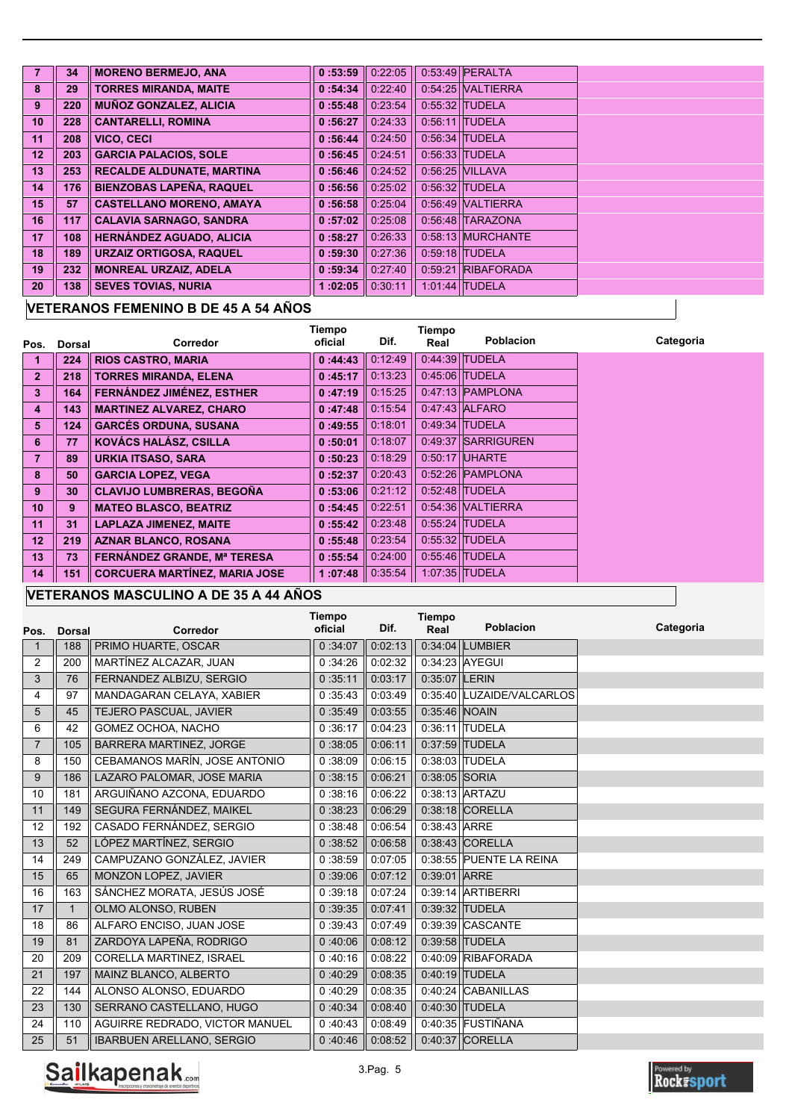|                 | 34  | <b>MORENO BERMEJO, ANA</b>       | 0:53:59           | 0:22:05 | $0.53.49$ PERALTA    |
|-----------------|-----|----------------------------------|-------------------|---------|----------------------|
| 8               | 29  | <b>TORRES MIRANDA, MAITE</b>     | 0:54:34           | 0.22.40 | 0:54:25 VALTIERRA    |
| 9               | 220 | <b>MUÑOZ GONZALEZ, ALICIA</b>    | 0:55:48           | 0:23:54 | 0:55:32 TUDELA       |
| 10 <sup>1</sup> | 228 | <b>CANTARELLI, ROMINA</b>        | 0:56:27           | 0.24.33 | $0.56.11$ TUDELA     |
| 11              | 208 | VICO, CECI                       | 0:56:44           | 0.24:50 | $0.56.34$ TUDELA     |
| 12 <sub>2</sub> | 203 | <b>GARCIA PALACIOS, SOLE</b>     | 0:56:45           | 0:24:51 | 0.56.33 TUDELA       |
| 13              | 253 | <b>RECALDE ALDUNATE, MARTINA</b> | $0:56:46$ 0:24:52 |         | $0.56.25$ VILLAVA    |
| 14 <sup>1</sup> | 176 | <b>BIENZOBAS LAPEÑA, RAQUEL</b>  | 0:56:56           | 0:25:02 | 0:56:32 TUDELA       |
| 15 <sup>2</sup> | 57  | <b>CASTELLANO MORENO, AMAYA</b>  | 0:56:58           | 0.25.04 | $0.56.49$ MALTIERRA  |
| 16              | 117 | <b>CALAVIA SARNAGO, SANDRA</b>   | 0:57:02           | 0:25:08 | 0:56:48 TARAZONA     |
| 17 <sub>2</sub> | 108 | <b>HERNÁNDEZ AGUADO, ALICIA</b>  | 0:58:27           | 0.26.33 | 0:58:13 MURCHANTE    |
| 18              | 189 | <b>URZAIZ ORTIGOSA, RAQUEL</b>   | 0:59:30           | 0.27:36 | $0.59.18$ TUDELA     |
| 19              | 232 | <b>MONREAL URZAIZ, ADELA</b>     | 0:59:34           | 0.27:40 | $0.59.21$ RIBAFORADA |
| 20              | 138 | <b>SEVES TOVIAS, NURIA</b>       | :02:05            | 0:30:11 | 1:01:44 TUDELA       |

## **VETERANOS FEMENINO B DE 45 A 54 AÑOS**

| Pos.            | Dorsal | <b>Corredor</b>                      | Tiempo<br>oficial       | Dif.    | Tiempo<br>Real | <b>Poblacion</b>   | Categoria |
|-----------------|--------|--------------------------------------|-------------------------|---------|----------------|--------------------|-----------|
|                 | 224    | <b>RIOS CASTRO, MARIA</b>            | 0:44:43                 | 0:12:49 |                | $0.44:39$ TUDELA   |           |
| $\overline{2}$  | 218    | <b>TORRES MIRANDA, ELENA</b>         | 0:45:17                 | 0:13:23 |                | 0.45:06 TUDELA     |           |
| 3               | 164    | <b>FERNÁNDEZ JIMÉNEZ, ESTHER</b>     | 0:47:19                 | 0.15:25 |                | $0.47:13$ PAMPLONA |           |
| 4               | 143    | <b>MARTINEZ ALVAREZ, CHARO</b>       | 0:47:48                 | 0:15:54 |                | 0:47:43 ALFARO     |           |
| 5               | 124    | <b>GARCÉS ORDUNA, SUSANA</b>         | 0:49:55                 | 0:18.01 |                | $0.49.34$ TUDELA   |           |
| 6               | 77     | KOVÁCS HALÁSZ, CSILLA                | 0:50:01                 | 0:18:07 |                | 0:49:37 SARRIGUREN |           |
| 7               | 89     | <b>URKIA ITSASO, SARA</b>            | 0:50:23                 | 0:18:29 |                | $0.50:17$ UHARTE   |           |
| 8               | 50     | <b>GARCIA LOPEZ, VEGA</b>            | 0:52:37                 | 0:20:43 |                | $0:52:26$ PAMPLONA |           |
| 9               | 30     | <b>CLAVIJO LUMBRERAS, BEGOÑA</b>     | 0:53:06                 | 0.21:12 |                | $0.52:48$ TUDELA   |           |
| 10 <sup>°</sup> | 9      | <b>MATEO BLASCO, BEATRIZ</b>         | 0:54:45                 | 0:22:51 |                | 0:54:36 VALTIERRA  |           |
| 11              | 31     | <b>LAPLAZA JIMENEZ, MAITE</b>        | 0:55:42                 | 0:23:48 |                | $0:55:24$ TUDELA   |           |
| 12 <sup>2</sup> | 219    | <b>AZNAR BLANCO, ROSANA</b>          | 0:55:48                 | 0.23.54 |                | 0:55:32 TUDELA     |           |
| 13              | 73     | <b>FERNÁNDEZ GRANDE, Mª TERESA</b>   | 0:55:54                 | 0.24:00 |                | 0:55:46 TUDELA     |           |
| 14 <sup>1</sup> | 151    | <b>CORCUERA MARTÍNEZ, MARIA JOSE</b> | 1:07:48 $\  0.35:54 \ $ |         |                | 1:07:35 TUDELA     |           |

## **VETERANOS MASCULINO A DE 35 A 44 AÑOS**

|                |               |                                  | Tiempo  |         | <b>Tiempo</b>   |                           |           |
|----------------|---------------|----------------------------------|---------|---------|-----------------|---------------------------|-----------|
| Pos.           | <b>Dorsal</b> | Corredor                         | oficial | Dif.    | Real            | <b>Poblacion</b>          | Categoria |
| $\mathbf{1}$   | 188           | PRIMO HUARTE, OSCAR              | 0:34:07 | 0:02:13 |                 | 0:34:04 LUMBIER           |           |
| 2              | 200           | MARTÍNEZ ALCAZAR, JUAN           | 0:34:26 | 0:02:32 |                 | 0:34:23 AYEGUI            |           |
| 3              | 76            | FERNANDEZ ALBIZU, SERGIO         | 0:35:11 | 0:03:17 | $0:35:07$ LERIN |                           |           |
| 4              | 97            | MANDAGARAN CELAYA, XABIER        | 0:35:43 | 0.03.49 |                 | 0:35:40 LUZAIDE/VALCARLOS |           |
| 5              | 45            | TEJERO PASCUAL, JAVIER           | 0:35:49 | 0:03:55 | 0:35:46 NOAIN   |                           |           |
| 6              | 42            | GOMEZ OCHOA, NACHO               | 0:36:17 | 0:04:23 |                 | $0.36.11$ TUDELA          |           |
| $\overline{7}$ | 105           | <b>BARRERA MARTINEZ, JORGE</b>   | 0:38:05 | 0:06:11 |                 | 0:37:59 TUDELA            |           |
| 8              | 150           | CEBAMANOS MARÍN, JOSE ANTONIO    | 0:38:09 | 0:06:15 |                 | 0:38:03 TUDELA            |           |
| 9              | 186           | LAZARO PALOMAR. JOSE MARIA       | 0:38:15 | 0.06:21 | 0:38:05 SORIA   |                           |           |
| 10             | 181           | ARGUIÑANO AZCONA, EDUARDO        | 0:38:16 | 0:06:22 |                 | 0:38:13 ARTAZU            |           |
| 11             | 149           | SEGURA FERNÁNDEZ, MAIKEL         | 0:38:23 | 0:06:29 |                 | $0.38.18$ CORELLA         |           |
| 12             | 192           | CASADO FERNÁNDEZ, SERGIO         | 0:38:48 | 0:06:54 | 0.38.43 ARRE    |                           |           |
| 13             | 52            | LÓPEZ MARTÍNEZ, SERGIO           | 0:38:52 | 0:06:58 |                 | 0:38:43 CORELLA           |           |
| 14             | 249           | CAMPUZANO GONZÁLEZ, JAVIER       | 0:38:59 | 0:07:05 |                 | 0:38:55 PUENTE LA REINA   |           |
| 15             | 65            | MONZON LOPEZ, JAVIER             | 0:39:06 | 0.07:12 | $0:39:01$ ARRE  |                           |           |
| 16             | 163           | SÁNCHEZ MORATA, JESÚS JOSÉ       | 0:39:18 | 0:07:24 |                 | 0:39:14 ARTIBERRI         |           |
| 17             | $\mathbf{1}$  | OLMO ALONSO, RUBEN               | 0:39:35 | 0:07:41 |                 | 0:39:32 TUDELA            |           |
| 18             | 86            | ALFARO ENCISO, JUAN JOSE         | 0:39.43 | 0:07:49 |                 | 0.39:39 CASCANTE          |           |
| 19             | 81            | ZARDOYA LAPEÑA, RODRIGO          | 0:40:06 | 0.08.12 |                 | 0:39:58 TUDELA            |           |
| 20             | 209           | CORELLA MARTINEZ, ISRAEL         | 0:40:16 | 0:08:22 |                 | 0:40:09 RIBAFORADA        |           |
| 21             | 197           | MAINZ BLANCO, ALBERTO            | 0:40:29 | 0:08:35 |                 | 0:40:19 TUDELA            |           |
| 22             | 144           | ALONSO ALONSO, EDUARDO           | 0:40:29 | 0:08:35 |                 | 0:40:24 CABANILLAS        |           |
| 23             | 130           | SERRANO CASTELLANO, HUGO         | 0:40:34 | 0.08:40 |                 | 0:40:30 TUDELA            |           |
| 24             | 110           | AGUIRRE REDRADO, VICTOR MANUEL   | 0:40:43 | 0:08.49 |                 | 0.40:35 FUSTIÑANA         |           |
| 25             | 51            | <b>IBARBUEN ARELLANO, SERGIO</b> | 0:40:46 | 0:08:52 |                 | $0.40.37$ CORELLA         |           |



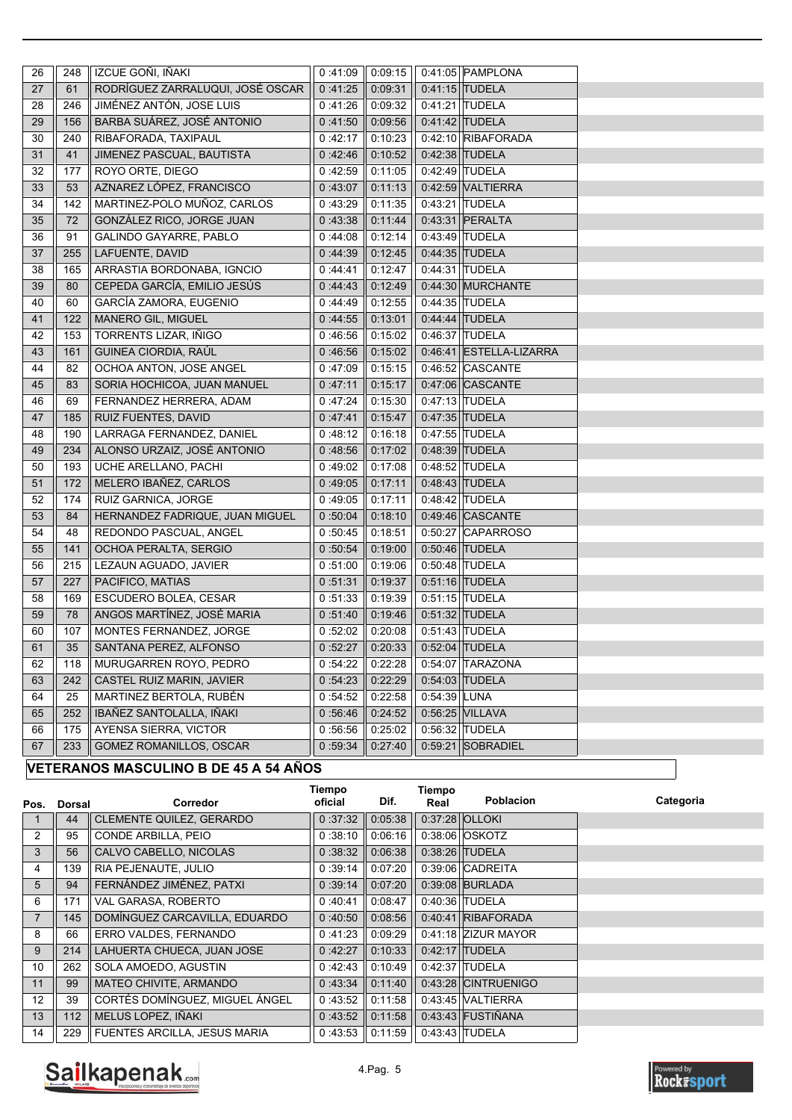| 27<br>RODRÍGUEZ ZARRALUQUI, JOSÉ OSCAR<br>61<br>0:41:25<br>0.09.31<br>0:41:15 TUDELA<br>JIMÉNEZ ANTÓN, JOSE LUIS<br>28<br>246<br>0.41:26<br>0:09:32<br>0:41:21 TUDELA<br>BARBA SUÁREZ, JOSÉ ANTONIO<br>29<br>156<br>0:41:50<br>0:09:56<br>0:41:42 TUDELA<br>30<br>0:42:17<br>0:10:23<br>0:42:10 RIBAFORADA<br>240<br>RIBAFORADA, TAXIPAUL<br>31<br>41<br>JIMENEZ PASCUAL, BAUTISTA<br>0:42.46<br>0:10:52<br>0:42:38 TUDELA<br>32<br>177<br>ROYO ORTE, DIEGO<br>0:42.59<br>0:11:05<br>0:42:49 TUDELA<br>AZNAREZ LÓPEZ, FRANCISCO<br>33<br>53<br>0:43:07<br>0:11:13<br>0:42:59 VALTIERRA<br>34<br>MARTINEZ-POLO MUÑOZ, CARLOS<br>0 43 29<br>0:11:35<br>0:43:21 TUDELA<br>142<br>35<br>72<br>GONZÁLEZ RICO, JORGE JUAN<br>0:43:38<br>0:11:44<br>0:43:31 PERALTA<br>91<br>0:12:14<br>36<br>GALINDO GAYARRE, PABLO<br>0:44:08<br>0:43:49 TUDELA<br>37<br>LAFUENTE, DAVID<br>255<br>0.44.39<br>0:12:45<br>0:44:35 TUDELA<br>38<br>ARRASTIA BORDONABA, IGNCIO<br>0:12:47<br>165<br>0.44.41<br>0:44:31 TUDELA<br>CEPEDA GARCÍA, EMILIO JESÚS<br>39<br>0:44:30 MURCHANTE<br>80<br>0:44.43<br>0:12:49<br>0:12:55<br>40<br>60<br>GARCÍA ZAMORA, EUGENIO<br>0:44.49<br>0:44:35 TUDELA<br>MANERO GIL, MIGUEL<br>41<br>122<br>0:44:55<br>0:13:01<br>0:44:44 TUDELA<br>42<br>TORRENTS LIZAR, IÑIGO<br>0:15:02<br>0:46:37 TUDELA<br>153<br>0:46:56<br>43<br>GUINEA CIORDIA, RAÚL<br>161<br>0:46.56<br>0:15:02<br>0.46.41 ESTELLA-LIZARRA<br>44<br>OCHOA ANTON, JOSE ANGEL<br>0:47:09<br>0:15:15<br>0:46:52 CASCANTE<br>82<br>45<br>83<br>SORIA HOCHICOA, JUAN MANUEL<br>0.47:11<br>0:15:17<br>0:47:06 CASCANTE<br>46<br>69<br>FERNANDEZ HERRERA, ADAM<br>0.47:24<br>0:15:30<br>0:47:13 TUDELA<br>$47\,$<br>185<br>0.47.41<br>0:15.47<br>RUIZ FUENTES, DAVID<br>0:47:35 TUDELA<br>48<br>LARRAGA FERNANDEZ, DANIEL<br>0.48.12<br>0:16:18<br>0:47:55 TUDELA<br>190<br>ALONSO URZAIZ, JOSÉ ANTONIO<br>49<br>234<br>0:48.56<br>0:17:02<br>0:48:39 TUDELA<br>50<br>193<br>UCHE ARELLANO, PACHI<br>0:49:02<br>0:17:08<br>0:48:52 TUDELA<br>51<br>172<br>MELERO IBAÑEZ, CARLOS<br>0:49:05<br>0:17:11<br>0:48:43 TUDELA<br>52<br>174<br>RUIZ GARNICA, JORGE<br>0:49:05<br>0.17.11<br>0:48:42 TUDELA<br>53<br>84<br>HERNANDEZ FADRIQUE, JUAN MIGUEL<br>0:50:04<br>0:18:10<br>0:49:46 CASCANTE<br>54<br>48<br>REDONDO PASCUAL, ANGEL<br>0:50:45<br>0:18:51<br>0.50.27<br><b>CAPARROSO</b><br>55<br>141<br>0:50:46 TUDELA<br>OCHOA PERALTA, SERGIO<br>0:50:54<br>0:19:00<br>56<br>0:51:00<br>0:19:06<br>0:50:48 TUDELA<br>215<br>LEZAUN AGUADO, JAVIER<br>57<br>227<br>PACIFICO, MATIAS<br>0:51:31<br>0:19:37<br>0:51:16 TUDELA<br>58<br>169<br>ESCUDERO BOLEA, CESAR<br>0:51:33<br>0:19:39<br>0:51:15 TUDELA<br>59<br>0:51:32 TUDELA<br>78<br>ANGOS MARTÍNEZ, JOSÉ MARIA<br>0:51:40<br>0.19:46<br>60<br>107<br>MONTES FERNANDEZ, JORGE<br>0:20:08<br>0:51:43 TUDELA<br>0.52:02<br>61<br>35<br>SANTANA PEREZ, ALFONSO<br>0:52:27<br>0.20:33<br>0:52:04 TUDELA<br><b>TARAZONA</b><br>62<br>118<br>MURUGARREN ROYO, PEDRO<br>0:54:22<br>0.22:28<br>0.54.07<br>63<br>242<br>CASTEL RUIZ MARIN, JAVIER<br>0:54.23<br>0.22:29<br>$0.54:03$ TUDELA<br>MARTINEZ BERTOLA, RUBÉN<br>0:54.52<br>0:22:58<br>0:54:39 LUNA<br>25<br>64<br>IBAÑEZ SANTOLALLA, IÑAKI<br>65<br>252<br>0:56.46<br>0:24:52<br>0:56:25<br><b>VILLAVA</b><br>66<br>175<br>AYENSA SIERRA, VICTOR<br>0:56:56<br>0:25:02<br>0:56:32<br><b>TUDELA</b><br>GOMEZ ROMANILLOS, OSCAR<br>0 59 34<br>$0.59.21$ SOBRADIEL<br>67<br>233<br>0.27.40 | 26 | 248 | IZCUE GOÑI, IÑAKI | 0:41:09 | 0:09:15 | 0.41:05 PAMPLONA |  |
|------------------------------------------------------------------------------------------------------------------------------------------------------------------------------------------------------------------------------------------------------------------------------------------------------------------------------------------------------------------------------------------------------------------------------------------------------------------------------------------------------------------------------------------------------------------------------------------------------------------------------------------------------------------------------------------------------------------------------------------------------------------------------------------------------------------------------------------------------------------------------------------------------------------------------------------------------------------------------------------------------------------------------------------------------------------------------------------------------------------------------------------------------------------------------------------------------------------------------------------------------------------------------------------------------------------------------------------------------------------------------------------------------------------------------------------------------------------------------------------------------------------------------------------------------------------------------------------------------------------------------------------------------------------------------------------------------------------------------------------------------------------------------------------------------------------------------------------------------------------------------------------------------------------------------------------------------------------------------------------------------------------------------------------------------------------------------------------------------------------------------------------------------------------------------------------------------------------------------------------------------------------------------------------------------------------------------------------------------------------------------------------------------------------------------------------------------------------------------------------------------------------------------------------------------------------------------------------------------------------------------------------------------------------------------------------------------------------------------------------------------------------------------------------------------------------------------------------------------------------------------------------------------------------------------------------------------------------------------------------------------------------------------------------------------------------------------------------------------------------------------------------------------------------------------------------------------------------------------------------------------------------------------------------------------------------------------------------------------------------------------------------------------------------------------------------------------------------------|----|-----|-------------------|---------|---------|------------------|--|
|                                                                                                                                                                                                                                                                                                                                                                                                                                                                                                                                                                                                                                                                                                                                                                                                                                                                                                                                                                                                                                                                                                                                                                                                                                                                                                                                                                                                                                                                                                                                                                                                                                                                                                                                                                                                                                                                                                                                                                                                                                                                                                                                                                                                                                                                                                                                                                                                                                                                                                                                                                                                                                                                                                                                                                                                                                                                                                                                                                                                                                                                                                                                                                                                                                                                                                                                                                                                                                                                        |    |     |                   |         |         |                  |  |
|                                                                                                                                                                                                                                                                                                                                                                                                                                                                                                                                                                                                                                                                                                                                                                                                                                                                                                                                                                                                                                                                                                                                                                                                                                                                                                                                                                                                                                                                                                                                                                                                                                                                                                                                                                                                                                                                                                                                                                                                                                                                                                                                                                                                                                                                                                                                                                                                                                                                                                                                                                                                                                                                                                                                                                                                                                                                                                                                                                                                                                                                                                                                                                                                                                                                                                                                                                                                                                                                        |    |     |                   |         |         |                  |  |
|                                                                                                                                                                                                                                                                                                                                                                                                                                                                                                                                                                                                                                                                                                                                                                                                                                                                                                                                                                                                                                                                                                                                                                                                                                                                                                                                                                                                                                                                                                                                                                                                                                                                                                                                                                                                                                                                                                                                                                                                                                                                                                                                                                                                                                                                                                                                                                                                                                                                                                                                                                                                                                                                                                                                                                                                                                                                                                                                                                                                                                                                                                                                                                                                                                                                                                                                                                                                                                                                        |    |     |                   |         |         |                  |  |
|                                                                                                                                                                                                                                                                                                                                                                                                                                                                                                                                                                                                                                                                                                                                                                                                                                                                                                                                                                                                                                                                                                                                                                                                                                                                                                                                                                                                                                                                                                                                                                                                                                                                                                                                                                                                                                                                                                                                                                                                                                                                                                                                                                                                                                                                                                                                                                                                                                                                                                                                                                                                                                                                                                                                                                                                                                                                                                                                                                                                                                                                                                                                                                                                                                                                                                                                                                                                                                                                        |    |     |                   |         |         |                  |  |
|                                                                                                                                                                                                                                                                                                                                                                                                                                                                                                                                                                                                                                                                                                                                                                                                                                                                                                                                                                                                                                                                                                                                                                                                                                                                                                                                                                                                                                                                                                                                                                                                                                                                                                                                                                                                                                                                                                                                                                                                                                                                                                                                                                                                                                                                                                                                                                                                                                                                                                                                                                                                                                                                                                                                                                                                                                                                                                                                                                                                                                                                                                                                                                                                                                                                                                                                                                                                                                                                        |    |     |                   |         |         |                  |  |
|                                                                                                                                                                                                                                                                                                                                                                                                                                                                                                                                                                                                                                                                                                                                                                                                                                                                                                                                                                                                                                                                                                                                                                                                                                                                                                                                                                                                                                                                                                                                                                                                                                                                                                                                                                                                                                                                                                                                                                                                                                                                                                                                                                                                                                                                                                                                                                                                                                                                                                                                                                                                                                                                                                                                                                                                                                                                                                                                                                                                                                                                                                                                                                                                                                                                                                                                                                                                                                                                        |    |     |                   |         |         |                  |  |
|                                                                                                                                                                                                                                                                                                                                                                                                                                                                                                                                                                                                                                                                                                                                                                                                                                                                                                                                                                                                                                                                                                                                                                                                                                                                                                                                                                                                                                                                                                                                                                                                                                                                                                                                                                                                                                                                                                                                                                                                                                                                                                                                                                                                                                                                                                                                                                                                                                                                                                                                                                                                                                                                                                                                                                                                                                                                                                                                                                                                                                                                                                                                                                                                                                                                                                                                                                                                                                                                        |    |     |                   |         |         |                  |  |
|                                                                                                                                                                                                                                                                                                                                                                                                                                                                                                                                                                                                                                                                                                                                                                                                                                                                                                                                                                                                                                                                                                                                                                                                                                                                                                                                                                                                                                                                                                                                                                                                                                                                                                                                                                                                                                                                                                                                                                                                                                                                                                                                                                                                                                                                                                                                                                                                                                                                                                                                                                                                                                                                                                                                                                                                                                                                                                                                                                                                                                                                                                                                                                                                                                                                                                                                                                                                                                                                        |    |     |                   |         |         |                  |  |
|                                                                                                                                                                                                                                                                                                                                                                                                                                                                                                                                                                                                                                                                                                                                                                                                                                                                                                                                                                                                                                                                                                                                                                                                                                                                                                                                                                                                                                                                                                                                                                                                                                                                                                                                                                                                                                                                                                                                                                                                                                                                                                                                                                                                                                                                                                                                                                                                                                                                                                                                                                                                                                                                                                                                                                                                                                                                                                                                                                                                                                                                                                                                                                                                                                                                                                                                                                                                                                                                        |    |     |                   |         |         |                  |  |
|                                                                                                                                                                                                                                                                                                                                                                                                                                                                                                                                                                                                                                                                                                                                                                                                                                                                                                                                                                                                                                                                                                                                                                                                                                                                                                                                                                                                                                                                                                                                                                                                                                                                                                                                                                                                                                                                                                                                                                                                                                                                                                                                                                                                                                                                                                                                                                                                                                                                                                                                                                                                                                                                                                                                                                                                                                                                                                                                                                                                                                                                                                                                                                                                                                                                                                                                                                                                                                                                        |    |     |                   |         |         |                  |  |
|                                                                                                                                                                                                                                                                                                                                                                                                                                                                                                                                                                                                                                                                                                                                                                                                                                                                                                                                                                                                                                                                                                                                                                                                                                                                                                                                                                                                                                                                                                                                                                                                                                                                                                                                                                                                                                                                                                                                                                                                                                                                                                                                                                                                                                                                                                                                                                                                                                                                                                                                                                                                                                                                                                                                                                                                                                                                                                                                                                                                                                                                                                                                                                                                                                                                                                                                                                                                                                                                        |    |     |                   |         |         |                  |  |
|                                                                                                                                                                                                                                                                                                                                                                                                                                                                                                                                                                                                                                                                                                                                                                                                                                                                                                                                                                                                                                                                                                                                                                                                                                                                                                                                                                                                                                                                                                                                                                                                                                                                                                                                                                                                                                                                                                                                                                                                                                                                                                                                                                                                                                                                                                                                                                                                                                                                                                                                                                                                                                                                                                                                                                                                                                                                                                                                                                                                                                                                                                                                                                                                                                                                                                                                                                                                                                                                        |    |     |                   |         |         |                  |  |
|                                                                                                                                                                                                                                                                                                                                                                                                                                                                                                                                                                                                                                                                                                                                                                                                                                                                                                                                                                                                                                                                                                                                                                                                                                                                                                                                                                                                                                                                                                                                                                                                                                                                                                                                                                                                                                                                                                                                                                                                                                                                                                                                                                                                                                                                                                                                                                                                                                                                                                                                                                                                                                                                                                                                                                                                                                                                                                                                                                                                                                                                                                                                                                                                                                                                                                                                                                                                                                                                        |    |     |                   |         |         |                  |  |
|                                                                                                                                                                                                                                                                                                                                                                                                                                                                                                                                                                                                                                                                                                                                                                                                                                                                                                                                                                                                                                                                                                                                                                                                                                                                                                                                                                                                                                                                                                                                                                                                                                                                                                                                                                                                                                                                                                                                                                                                                                                                                                                                                                                                                                                                                                                                                                                                                                                                                                                                                                                                                                                                                                                                                                                                                                                                                                                                                                                                                                                                                                                                                                                                                                                                                                                                                                                                                                                                        |    |     |                   |         |         |                  |  |
|                                                                                                                                                                                                                                                                                                                                                                                                                                                                                                                                                                                                                                                                                                                                                                                                                                                                                                                                                                                                                                                                                                                                                                                                                                                                                                                                                                                                                                                                                                                                                                                                                                                                                                                                                                                                                                                                                                                                                                                                                                                                                                                                                                                                                                                                                                                                                                                                                                                                                                                                                                                                                                                                                                                                                                                                                                                                                                                                                                                                                                                                                                                                                                                                                                                                                                                                                                                                                                                                        |    |     |                   |         |         |                  |  |
|                                                                                                                                                                                                                                                                                                                                                                                                                                                                                                                                                                                                                                                                                                                                                                                                                                                                                                                                                                                                                                                                                                                                                                                                                                                                                                                                                                                                                                                                                                                                                                                                                                                                                                                                                                                                                                                                                                                                                                                                                                                                                                                                                                                                                                                                                                                                                                                                                                                                                                                                                                                                                                                                                                                                                                                                                                                                                                                                                                                                                                                                                                                                                                                                                                                                                                                                                                                                                                                                        |    |     |                   |         |         |                  |  |
|                                                                                                                                                                                                                                                                                                                                                                                                                                                                                                                                                                                                                                                                                                                                                                                                                                                                                                                                                                                                                                                                                                                                                                                                                                                                                                                                                                                                                                                                                                                                                                                                                                                                                                                                                                                                                                                                                                                                                                                                                                                                                                                                                                                                                                                                                                                                                                                                                                                                                                                                                                                                                                                                                                                                                                                                                                                                                                                                                                                                                                                                                                                                                                                                                                                                                                                                                                                                                                                                        |    |     |                   |         |         |                  |  |
|                                                                                                                                                                                                                                                                                                                                                                                                                                                                                                                                                                                                                                                                                                                                                                                                                                                                                                                                                                                                                                                                                                                                                                                                                                                                                                                                                                                                                                                                                                                                                                                                                                                                                                                                                                                                                                                                                                                                                                                                                                                                                                                                                                                                                                                                                                                                                                                                                                                                                                                                                                                                                                                                                                                                                                                                                                                                                                                                                                                                                                                                                                                                                                                                                                                                                                                                                                                                                                                                        |    |     |                   |         |         |                  |  |
|                                                                                                                                                                                                                                                                                                                                                                                                                                                                                                                                                                                                                                                                                                                                                                                                                                                                                                                                                                                                                                                                                                                                                                                                                                                                                                                                                                                                                                                                                                                                                                                                                                                                                                                                                                                                                                                                                                                                                                                                                                                                                                                                                                                                                                                                                                                                                                                                                                                                                                                                                                                                                                                                                                                                                                                                                                                                                                                                                                                                                                                                                                                                                                                                                                                                                                                                                                                                                                                                        |    |     |                   |         |         |                  |  |
|                                                                                                                                                                                                                                                                                                                                                                                                                                                                                                                                                                                                                                                                                                                                                                                                                                                                                                                                                                                                                                                                                                                                                                                                                                                                                                                                                                                                                                                                                                                                                                                                                                                                                                                                                                                                                                                                                                                                                                                                                                                                                                                                                                                                                                                                                                                                                                                                                                                                                                                                                                                                                                                                                                                                                                                                                                                                                                                                                                                                                                                                                                                                                                                                                                                                                                                                                                                                                                                                        |    |     |                   |         |         |                  |  |
|                                                                                                                                                                                                                                                                                                                                                                                                                                                                                                                                                                                                                                                                                                                                                                                                                                                                                                                                                                                                                                                                                                                                                                                                                                                                                                                                                                                                                                                                                                                                                                                                                                                                                                                                                                                                                                                                                                                                                                                                                                                                                                                                                                                                                                                                                                                                                                                                                                                                                                                                                                                                                                                                                                                                                                                                                                                                                                                                                                                                                                                                                                                                                                                                                                                                                                                                                                                                                                                                        |    |     |                   |         |         |                  |  |
|                                                                                                                                                                                                                                                                                                                                                                                                                                                                                                                                                                                                                                                                                                                                                                                                                                                                                                                                                                                                                                                                                                                                                                                                                                                                                                                                                                                                                                                                                                                                                                                                                                                                                                                                                                                                                                                                                                                                                                                                                                                                                                                                                                                                                                                                                                                                                                                                                                                                                                                                                                                                                                                                                                                                                                                                                                                                                                                                                                                                                                                                                                                                                                                                                                                                                                                                                                                                                                                                        |    |     |                   |         |         |                  |  |
|                                                                                                                                                                                                                                                                                                                                                                                                                                                                                                                                                                                                                                                                                                                                                                                                                                                                                                                                                                                                                                                                                                                                                                                                                                                                                                                                                                                                                                                                                                                                                                                                                                                                                                                                                                                                                                                                                                                                                                                                                                                                                                                                                                                                                                                                                                                                                                                                                                                                                                                                                                                                                                                                                                                                                                                                                                                                                                                                                                                                                                                                                                                                                                                                                                                                                                                                                                                                                                                                        |    |     |                   |         |         |                  |  |
|                                                                                                                                                                                                                                                                                                                                                                                                                                                                                                                                                                                                                                                                                                                                                                                                                                                                                                                                                                                                                                                                                                                                                                                                                                                                                                                                                                                                                                                                                                                                                                                                                                                                                                                                                                                                                                                                                                                                                                                                                                                                                                                                                                                                                                                                                                                                                                                                                                                                                                                                                                                                                                                                                                                                                                                                                                                                                                                                                                                                                                                                                                                                                                                                                                                                                                                                                                                                                                                                        |    |     |                   |         |         |                  |  |
|                                                                                                                                                                                                                                                                                                                                                                                                                                                                                                                                                                                                                                                                                                                                                                                                                                                                                                                                                                                                                                                                                                                                                                                                                                                                                                                                                                                                                                                                                                                                                                                                                                                                                                                                                                                                                                                                                                                                                                                                                                                                                                                                                                                                                                                                                                                                                                                                                                                                                                                                                                                                                                                                                                                                                                                                                                                                                                                                                                                                                                                                                                                                                                                                                                                                                                                                                                                                                                                                        |    |     |                   |         |         |                  |  |
|                                                                                                                                                                                                                                                                                                                                                                                                                                                                                                                                                                                                                                                                                                                                                                                                                                                                                                                                                                                                                                                                                                                                                                                                                                                                                                                                                                                                                                                                                                                                                                                                                                                                                                                                                                                                                                                                                                                                                                                                                                                                                                                                                                                                                                                                                                                                                                                                                                                                                                                                                                                                                                                                                                                                                                                                                                                                                                                                                                                                                                                                                                                                                                                                                                                                                                                                                                                                                                                                        |    |     |                   |         |         |                  |  |
|                                                                                                                                                                                                                                                                                                                                                                                                                                                                                                                                                                                                                                                                                                                                                                                                                                                                                                                                                                                                                                                                                                                                                                                                                                                                                                                                                                                                                                                                                                                                                                                                                                                                                                                                                                                                                                                                                                                                                                                                                                                                                                                                                                                                                                                                                                                                                                                                                                                                                                                                                                                                                                                                                                                                                                                                                                                                                                                                                                                                                                                                                                                                                                                                                                                                                                                                                                                                                                                                        |    |     |                   |         |         |                  |  |
|                                                                                                                                                                                                                                                                                                                                                                                                                                                                                                                                                                                                                                                                                                                                                                                                                                                                                                                                                                                                                                                                                                                                                                                                                                                                                                                                                                                                                                                                                                                                                                                                                                                                                                                                                                                                                                                                                                                                                                                                                                                                                                                                                                                                                                                                                                                                                                                                                                                                                                                                                                                                                                                                                                                                                                                                                                                                                                                                                                                                                                                                                                                                                                                                                                                                                                                                                                                                                                                                        |    |     |                   |         |         |                  |  |
|                                                                                                                                                                                                                                                                                                                                                                                                                                                                                                                                                                                                                                                                                                                                                                                                                                                                                                                                                                                                                                                                                                                                                                                                                                                                                                                                                                                                                                                                                                                                                                                                                                                                                                                                                                                                                                                                                                                                                                                                                                                                                                                                                                                                                                                                                                                                                                                                                                                                                                                                                                                                                                                                                                                                                                                                                                                                                                                                                                                                                                                                                                                                                                                                                                                                                                                                                                                                                                                                        |    |     |                   |         |         |                  |  |
|                                                                                                                                                                                                                                                                                                                                                                                                                                                                                                                                                                                                                                                                                                                                                                                                                                                                                                                                                                                                                                                                                                                                                                                                                                                                                                                                                                                                                                                                                                                                                                                                                                                                                                                                                                                                                                                                                                                                                                                                                                                                                                                                                                                                                                                                                                                                                                                                                                                                                                                                                                                                                                                                                                                                                                                                                                                                                                                                                                                                                                                                                                                                                                                                                                                                                                                                                                                                                                                                        |    |     |                   |         |         |                  |  |
|                                                                                                                                                                                                                                                                                                                                                                                                                                                                                                                                                                                                                                                                                                                                                                                                                                                                                                                                                                                                                                                                                                                                                                                                                                                                                                                                                                                                                                                                                                                                                                                                                                                                                                                                                                                                                                                                                                                                                                                                                                                                                                                                                                                                                                                                                                                                                                                                                                                                                                                                                                                                                                                                                                                                                                                                                                                                                                                                                                                                                                                                                                                                                                                                                                                                                                                                                                                                                                                                        |    |     |                   |         |         |                  |  |
|                                                                                                                                                                                                                                                                                                                                                                                                                                                                                                                                                                                                                                                                                                                                                                                                                                                                                                                                                                                                                                                                                                                                                                                                                                                                                                                                                                                                                                                                                                                                                                                                                                                                                                                                                                                                                                                                                                                                                                                                                                                                                                                                                                                                                                                                                                                                                                                                                                                                                                                                                                                                                                                                                                                                                                                                                                                                                                                                                                                                                                                                                                                                                                                                                                                                                                                                                                                                                                                                        |    |     |                   |         |         |                  |  |
|                                                                                                                                                                                                                                                                                                                                                                                                                                                                                                                                                                                                                                                                                                                                                                                                                                                                                                                                                                                                                                                                                                                                                                                                                                                                                                                                                                                                                                                                                                                                                                                                                                                                                                                                                                                                                                                                                                                                                                                                                                                                                                                                                                                                                                                                                                                                                                                                                                                                                                                                                                                                                                                                                                                                                                                                                                                                                                                                                                                                                                                                                                                                                                                                                                                                                                                                                                                                                                                                        |    |     |                   |         |         |                  |  |
|                                                                                                                                                                                                                                                                                                                                                                                                                                                                                                                                                                                                                                                                                                                                                                                                                                                                                                                                                                                                                                                                                                                                                                                                                                                                                                                                                                                                                                                                                                                                                                                                                                                                                                                                                                                                                                                                                                                                                                                                                                                                                                                                                                                                                                                                                                                                                                                                                                                                                                                                                                                                                                                                                                                                                                                                                                                                                                                                                                                                                                                                                                                                                                                                                                                                                                                                                                                                                                                                        |    |     |                   |         |         |                  |  |
|                                                                                                                                                                                                                                                                                                                                                                                                                                                                                                                                                                                                                                                                                                                                                                                                                                                                                                                                                                                                                                                                                                                                                                                                                                                                                                                                                                                                                                                                                                                                                                                                                                                                                                                                                                                                                                                                                                                                                                                                                                                                                                                                                                                                                                                                                                                                                                                                                                                                                                                                                                                                                                                                                                                                                                                                                                                                                                                                                                                                                                                                                                                                                                                                                                                                                                                                                                                                                                                                        |    |     |                   |         |         |                  |  |
|                                                                                                                                                                                                                                                                                                                                                                                                                                                                                                                                                                                                                                                                                                                                                                                                                                                                                                                                                                                                                                                                                                                                                                                                                                                                                                                                                                                                                                                                                                                                                                                                                                                                                                                                                                                                                                                                                                                                                                                                                                                                                                                                                                                                                                                                                                                                                                                                                                                                                                                                                                                                                                                                                                                                                                                                                                                                                                                                                                                                                                                                                                                                                                                                                                                                                                                                                                                                                                                                        |    |     |                   |         |         |                  |  |
|                                                                                                                                                                                                                                                                                                                                                                                                                                                                                                                                                                                                                                                                                                                                                                                                                                                                                                                                                                                                                                                                                                                                                                                                                                                                                                                                                                                                                                                                                                                                                                                                                                                                                                                                                                                                                                                                                                                                                                                                                                                                                                                                                                                                                                                                                                                                                                                                                                                                                                                                                                                                                                                                                                                                                                                                                                                                                                                                                                                                                                                                                                                                                                                                                                                                                                                                                                                                                                                                        |    |     |                   |         |         |                  |  |
|                                                                                                                                                                                                                                                                                                                                                                                                                                                                                                                                                                                                                                                                                                                                                                                                                                                                                                                                                                                                                                                                                                                                                                                                                                                                                                                                                                                                                                                                                                                                                                                                                                                                                                                                                                                                                                                                                                                                                                                                                                                                                                                                                                                                                                                                                                                                                                                                                                                                                                                                                                                                                                                                                                                                                                                                                                                                                                                                                                                                                                                                                                                                                                                                                                                                                                                                                                                                                                                                        |    |     |                   |         |         |                  |  |
|                                                                                                                                                                                                                                                                                                                                                                                                                                                                                                                                                                                                                                                                                                                                                                                                                                                                                                                                                                                                                                                                                                                                                                                                                                                                                                                                                                                                                                                                                                                                                                                                                                                                                                                                                                                                                                                                                                                                                                                                                                                                                                                                                                                                                                                                                                                                                                                                                                                                                                                                                                                                                                                                                                                                                                                                                                                                                                                                                                                                                                                                                                                                                                                                                                                                                                                                                                                                                                                                        |    |     |                   |         |         |                  |  |
|                                                                                                                                                                                                                                                                                                                                                                                                                                                                                                                                                                                                                                                                                                                                                                                                                                                                                                                                                                                                                                                                                                                                                                                                                                                                                                                                                                                                                                                                                                                                                                                                                                                                                                                                                                                                                                                                                                                                                                                                                                                                                                                                                                                                                                                                                                                                                                                                                                                                                                                                                                                                                                                                                                                                                                                                                                                                                                                                                                                                                                                                                                                                                                                                                                                                                                                                                                                                                                                                        |    |     |                   |         |         |                  |  |
|                                                                                                                                                                                                                                                                                                                                                                                                                                                                                                                                                                                                                                                                                                                                                                                                                                                                                                                                                                                                                                                                                                                                                                                                                                                                                                                                                                                                                                                                                                                                                                                                                                                                                                                                                                                                                                                                                                                                                                                                                                                                                                                                                                                                                                                                                                                                                                                                                                                                                                                                                                                                                                                                                                                                                                                                                                                                                                                                                                                                                                                                                                                                                                                                                                                                                                                                                                                                                                                                        |    |     |                   |         |         |                  |  |

# **VETERANOS MASCULINO B DE 45 A 54 AÑOS**

| Pos.           | <b>Dorsal</b> | Corredor                            | Tiempo<br>oficial | Dif.    | Tiempo<br>Real | <b>Poblacion</b>    | Categoria |
|----------------|---------------|-------------------------------------|-------------------|---------|----------------|---------------------|-----------|
|                | 44            | <b>CLEMENTE QUILEZ, GERARDO</b>     | 0:37:32           | 0.05:38 | 0:37:28 OLLOKI |                     |           |
| 2              | 95            | CONDE ARBILLA, PEIO                 | 0:38:10           | 0.06:16 |                | 0:38:06 OSKOTZ      |           |
| 3              | 56            | CALVO CABELLO, NICOLAS              | 0:38:32           | 0:06:38 |                | 0.38.26 TUDELA      |           |
| 4              | 139           | RIA PEJENAUTE, JULIO                | 0:39:14           | 0:07:20 |                | 0:39:06 CADREITA    |           |
| 5              | 94            | FERNÁNDEZ JIMÉNEZ, PATXI            | 0:39:14           | 0:07:20 |                | 0:39:08 BURLADA     |           |
| 6              | 171           | VAL GARASA, ROBERTO                 | 0:40:41           | 0:08:47 |                | 0:40:36 TUDELA      |           |
| $\overline{7}$ | 145           | DOMÍNGUEZ CARCAVILLA, EDUARDO       | 0:40:50           | 0.08:56 |                | 0:40:41 RIBAFORADA  |           |
| 8              | 66            | ERRO VALDES, FERNANDO               | 0:41:23           | 0:09:29 |                | 0.41:18 ZIZUR MAYOR |           |
| 9              | 214           | LAHUERTA CHUECA, JUAN JOSE          | 0:42:27           | 0:10:33 |                | $0.42:17$ TUDELA    |           |
| 10             | 262           | SOLA AMOEDO, AGUSTIN                | 0:42:43           | 0:10.49 |                | 0:42:37 TUDELA      |           |
| 11             | 99            | MATEO CHIVITE, ARMANDO              | 0:43:34           | 0:11:40 |                | 0.43:28 CINTRUENIGO |           |
| 12             | 39            | CORTÉS DOMÍNGUEZ, MIGUEL ÁNGEL      | 0.43:52           | 0:11:58 |                | 0:43:45 VALTIERRA   |           |
| 13             | 112           | MELUS LOPEZ, IÑAKI                  | 0:43:52           | 0:11:58 |                | 0.43.43 FUSTIÑANA   |           |
| 14             | 229           | <b>FUENTES ARCILLA, JESUS MARIA</b> | 0:43:53           | 0:11:59 |                | 0.43:43 TUDELA      |           |